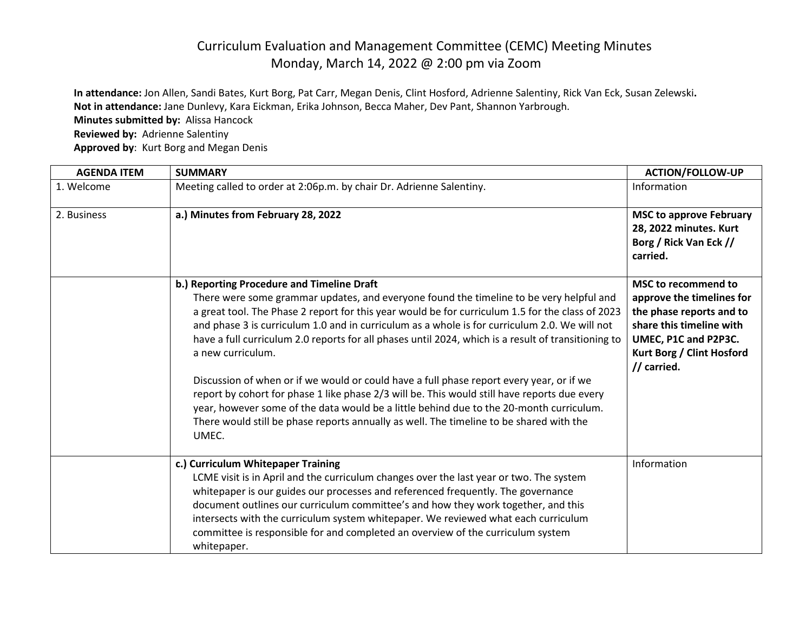## Curriculum Evaluation and Management Committee (CEMC) Meeting Minutes Monday, March 14, 2022 @ 2:00 pm via Zoom

**In attendance:** Jon Allen, Sandi Bates, Kurt Borg, Pat Carr, Megan Denis, Clint Hosford, Adrienne Salentiny, Rick Van Eck, Susan Zelewski**. Not in attendance:** Jane Dunlevy, Kara Eickman, Erika Johnson, Becca Maher, Dev Pant, Shannon Yarbrough.

**Minutes submitted by:** Alissa Hancock

**Reviewed by:** Adrienne Salentiny

**Approved by**: Kurt Borg and Megan Denis

| <b>AGENDA ITEM</b> | <b>SUMMARY</b>                                                                                                                                                                                                                                                                                                                                                                                                                                                                                 | <b>ACTION/FOLLOW-UP</b>                                                                                                                                                             |
|--------------------|------------------------------------------------------------------------------------------------------------------------------------------------------------------------------------------------------------------------------------------------------------------------------------------------------------------------------------------------------------------------------------------------------------------------------------------------------------------------------------------------|-------------------------------------------------------------------------------------------------------------------------------------------------------------------------------------|
| 1. Welcome         | Meeting called to order at 2:06p.m. by chair Dr. Adrienne Salentiny.                                                                                                                                                                                                                                                                                                                                                                                                                           | Information                                                                                                                                                                         |
| 2. Business        | a.) Minutes from February 28, 2022                                                                                                                                                                                                                                                                                                                                                                                                                                                             | <b>MSC to approve February</b><br>28, 2022 minutes. Kurt<br>Borg / Rick Van Eck //<br>carried.                                                                                      |
|                    | b.) Reporting Procedure and Timeline Draft<br>There were some grammar updates, and everyone found the timeline to be very helpful and<br>a great tool. The Phase 2 report for this year would be for curriculum 1.5 for the class of 2023<br>and phase 3 is curriculum 1.0 and in curriculum as a whole is for curriculum 2.0. We will not<br>have a full curriculum 2.0 reports for all phases until 2024, which is a result of transitioning to<br>a new curriculum.                         | <b>MSC to recommend to</b><br>approve the timelines for<br>the phase reports and to<br>share this timeline with<br>UMEC, P1C and P2P3C.<br>Kurt Borg / Clint Hosford<br>// carried. |
|                    | Discussion of when or if we would or could have a full phase report every year, or if we<br>report by cohort for phase 1 like phase 2/3 will be. This would still have reports due every<br>year, however some of the data would be a little behind due to the 20-month curriculum.<br>There would still be phase reports annually as well. The timeline to be shared with the<br>UMEC.                                                                                                        |                                                                                                                                                                                     |
|                    | c.) Curriculum Whitepaper Training<br>LCME visit is in April and the curriculum changes over the last year or two. The system<br>whitepaper is our guides our processes and referenced frequently. The governance<br>document outlines our curriculum committee's and how they work together, and this<br>intersects with the curriculum system whitepaper. We reviewed what each curriculum<br>committee is responsible for and completed an overview of the curriculum system<br>whitepaper. | Information                                                                                                                                                                         |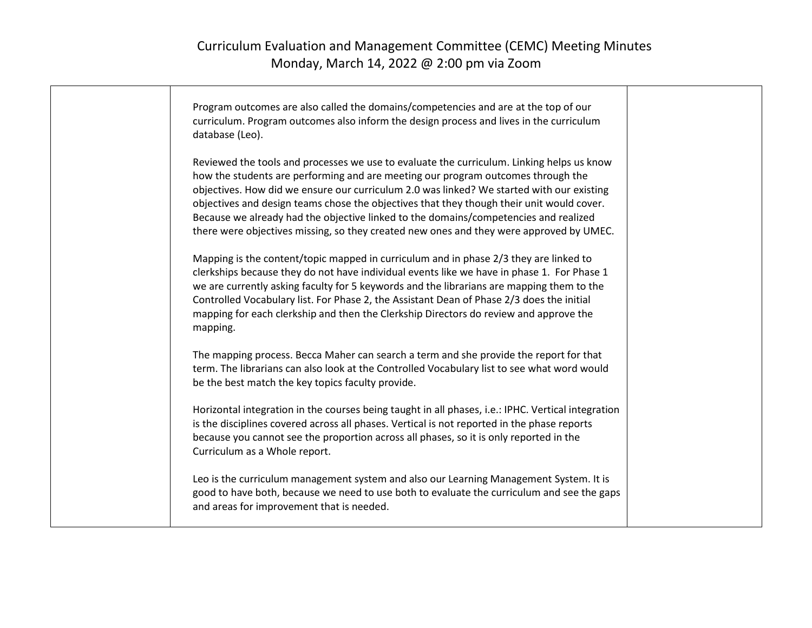| Program outcomes are also called the domains/competencies and are at the top of our<br>curriculum. Program outcomes also inform the design process and lives in the curriculum<br>database (Leo).                                                                                                                                                                                                                                                                                                                                                          |  |
|------------------------------------------------------------------------------------------------------------------------------------------------------------------------------------------------------------------------------------------------------------------------------------------------------------------------------------------------------------------------------------------------------------------------------------------------------------------------------------------------------------------------------------------------------------|--|
| Reviewed the tools and processes we use to evaluate the curriculum. Linking helps us know<br>how the students are performing and are meeting our program outcomes through the<br>objectives. How did we ensure our curriculum 2.0 was linked? We started with our existing<br>objectives and design teams chose the objectives that they though their unit would cover.<br>Because we already had the objective linked to the domains/competencies and realized<br>there were objectives missing, so they created new ones and they were approved by UMEC. |  |
| Mapping is the content/topic mapped in curriculum and in phase 2/3 they are linked to<br>clerkships because they do not have individual events like we have in phase 1. For Phase 1<br>we are currently asking faculty for 5 keywords and the librarians are mapping them to the<br>Controlled Vocabulary list. For Phase 2, the Assistant Dean of Phase 2/3 does the initial<br>mapping for each clerkship and then the Clerkship Directors do review and approve the<br>mapping.                                                                         |  |
| The mapping process. Becca Maher can search a term and she provide the report for that<br>term. The librarians can also look at the Controlled Vocabulary list to see what word would<br>be the best match the key topics faculty provide.                                                                                                                                                                                                                                                                                                                 |  |
| Horizontal integration in the courses being taught in all phases, i.e.: IPHC. Vertical integration<br>is the disciplines covered across all phases. Vertical is not reported in the phase reports<br>because you cannot see the proportion across all phases, so it is only reported in the<br>Curriculum as a Whole report.                                                                                                                                                                                                                               |  |
| Leo is the curriculum management system and also our Learning Management System. It is<br>good to have both, because we need to use both to evaluate the curriculum and see the gaps<br>and areas for improvement that is needed.                                                                                                                                                                                                                                                                                                                          |  |